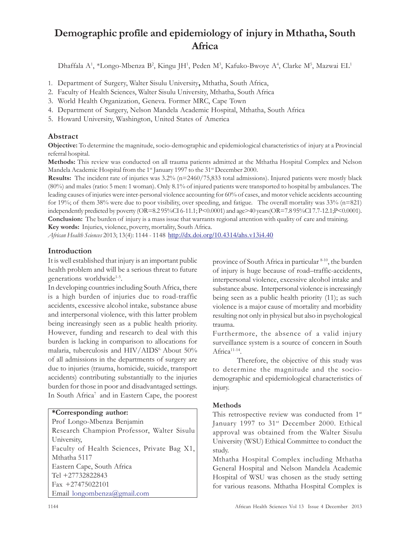# Demographic profile and epidemiology of injury in Mthatha, South Africa

Dhaffala A<sup>1</sup>, \*Longo-Mbenza B<sup>2</sup>, Kingu JH<sup>1</sup>, Peden M<sup>3</sup>, Kafuko-Bwoye A<sup>4</sup>, Clarke M<sup>5</sup>, Mazwai EL<sup>1</sup>

- 1. Department of Surgery, Walter Sisulu University, Mthatha, South Africa,
- 2. Faculty of Health Sciences, Walter Sisulu University, Mthatha, South Africa
- 3. World Health Organization, Geneva. Former MRC, Cape Town
- 4. Department of Surgery, Nelson Mandela Academic Hospital, Mthatha, South Africa
- 5. Howard University, Washington, United States of America

# Abstract

Objective: To determine the magnitude, socio-demographic and epidemiological characteristics of injury at a Provincial referral hospital.

Methods: This review was conducted on all trauma patients admitted at the Mthatha Hospital Complex and Nelson Mandela Academic Hospital from the 1<sup>st</sup> January 1997 to the 31<sup>st</sup> December 2000.

**Results:** The incident rate of injuries was  $3.2\%$  ( $n=2460/75,833$  total admissions). Injured patients were mostly black (80%) and males (ratio: 5 men: 1 woman). Only 8.1% of injured patients were transported to hospital by ambulances. The leading causes of injuries were inter-personal violence accounting for 60% of cases, and motor vehicle accidents accounting for 19%; of them 38% were due to poor visibility, over speeding, and fatigue. The overall mortality was  $33\%$  (n=821) independently predicted by poverty (OR=8.2 95%CI 6-11.1; P<0.0001) and age>40 years(OR=7.8 95%CI 7.7-12.1;P<0.0001). Conclusion: The burden of injury is a mass issue that warrants regional attention with quality of care and training. Key words: Injuries, violence, poverty, mortality, South Africa.

African Health Sciences 2013; 13(4): 1144 - 1148 http://dx.doi.org/10.4314/ahs.v13i4.40

# Introduction

It is well established that injury is an important public health problem and will be a serious threat to future generations worldwide<sup>1-5</sup>.

In developing countries including South Africa, there is a high burden of injuries due to road-traffic accidents, excessive alcohol intake, substance abuse and interpersonal violence, with this latter problem being increasingly seen as a public health priority. However, funding and research to deal with this burden is lacking in comparison to allocations for malaria, tuberculosis and HIV/AIDS<sup>6</sup> About 50% of all admissions in the departments of surgery are due to injuries (trauma, homicide, suicide, transport accidents) contributing substantially to the injuries burden for those in poor and disadvantaged settings. In South Africa<sup>7</sup> and in Eastern Cape, the poorest

# \*Corresponding author:

Prof Longo-Mbenza Benjamin Research Champion Professor, Walter Sisulu University, Faculty of Health Sciences, Private Bag X1, Mthatha 5117 Eastern Cape, South Africa Tel +27732822843 Fax +27475022101 Email longombenza@gmail.com

province of South Africa in particular 8-10, the burden of injury is huge because of road–traffic-accidents, interpersonal violence, excessive alcohol intake and substance abuse. Interpersonal violence is increasingly being seen as a public health priority (11); as such violence is a major cause of mortality and morbidity resulting not only in physical but also in psychological trauma.

Furthermore, the absence of a valid injury surveillance system is a source of concern in South Africa<sup>11-14</sup>.

Therefore, the objective of this study was to determine the magnitude and the sociodemographic and epidemiological characteristics of injury.

# Methods

This retrospective review was conducted from 1<sup>st</sup> January 1997 to 31<sup>st</sup> December 2000. Ethical approval was obtained from the Walter Sisulu University (WSU) Ethical Committee to conduct the study.

Mthatha Hospital Complex including Mthatha General Hospital and Nelson Mandela Academic Hospital of WSU was chosen as the study setting for various reasons. Mthatha Hospital Complex is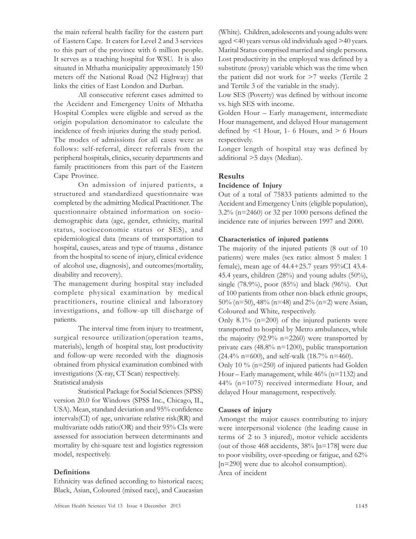the main referral health facility for the eastern part of Eastern Cape. It caters for Level 2 and 3 services to this part of the province with 6 million people. It serves as a teaching hospital for WSU. It is also situated in Mthatha municipality approximately 150 meters off the National Road (N2 Highway) that links the cities of East London and Durban.

All consecutive referent cases admitted to the Accident and Emergency Units of Mthatha Hospital Complex were eligible and served as the origin population denominator to calculate the incidence of fresh injuries during the study period. The modes of admissions for all cases were as follows: self-referral, direct referrals from the peripheral hospitals, clinics, security departments and family practitioners from this part of the Eastern Cape Province.

On admission of injured patients, a structured and standardized questionnaire was completed by the admitting Medical Practitioner. The questionnaire obtained information on sociodemographic data (age, gender, ethnicity, marital status, socioeconomic status or SES), and epidemiological data (means of transportation to hospital, causes, areas and type of trauma , distance from the hospital to scene of injury, clinical evidence of alcohol use, diagnosis), and outcomes(mortality, disability and recovery).

The management during hospital stay included complete physical examination by medical practitioners, routine clinical and laboratory investigations, and follow-up till discharge of patients.

The interval time from injury to treatment, surgical resource utilization(operation teams, materials), length of hospital stay, lost productivity and follow-up were recorded with the diagnosis obtained from physical examination combined with investigations (X-ray, CT Scan) respectively. Statistical analysis

Statistical Package for Social Sciences (SPSS) version 20.0 for Windows (SPSS Inc., Chicago, IL, USA). Mean, standard deviation and 95% confidence intervals(CI) of age, univariate relative risk(RR) and multivariate odds ratio(OR) and their  $95\%$  CIs were assessed for association between determinants and mortality by chi-square test and logistics regression model, respectively.

## **Definitions**

Ethnicity was defined according to historical races; Black, Asian, Coloured (mixed race), and Caucasian

(White). Children, adolescents and young adults were aged <40 years versus old individuals aged >40 years. Marital Status comprised married and single persons. Lost productivity in the employed was defined by a substitute (proxy) variable which was the time when the patient did not work for >7 weeks (Tertile 2 and Tertile 3 of the variable in the study).

Low SES (Poverty) was defined by without income vs. high SES with income.

Golden Hour – Early management, intermediate Hour management, and delayed Hour management defined by  $\leq 1$  Hour, 1- 6 Hours, and  $\geq 6$  Hours respectively.

Longer length of hospital stay was defined by additional >5 days (Median).

## Results

## Incidence of Injury

Out of a total of 75833 patients admitted to the Accident and Emergency Units (eligible population), 3.2% (n=2460) or 32 per 1000 persons defined the incidence rate of injuries between 1997 and 2000.

## Characteristics of injured patients

The majority of the injured patients (8 out of 10 patients) were males (sex ratio: almost 5 males: 1 female), mean age of 44.4+25.7 years 95%CI 43.4- 45.4 years, children  $(28\%)$  and young adults  $(50\%)$ , single (78.9%), poor (85%) and black (96%). Out of 100 patients from other non-black ethnic groups, 50% (n=50), 48% (n=48) and 2% (n=2) were Asian, Coloured and White, respectively.

Only  $8.1\%$  (n=200) of the injured patients were transported to hospital by Metro ambulances, while the majority (92.9%  $n=2260$ ) were transported by private cars (48.8% n=1200), public transportation  $(24.4\% \text{ n} = 600)$ , and self-walk  $(18.7\% \text{ n} = 460)$ .

Only 10 % (n=250) of injured patients had Golden Hour – Early management, while 46% (n=1132) and 44% (n=1075) received intermediate Hour, and delayed Hour management, respectively.

## Causes of injury

Amongst the major causes contributing to injury were interpersonal violence (the leading cause in terms of 2 to 3 injured), motor vehicle accidents (out of those 468 accidents, 38% [n=178] were due to poor visibility, over-speeding or fatigue, and 62% [n=290] were due to alcohol consumption). Area of incident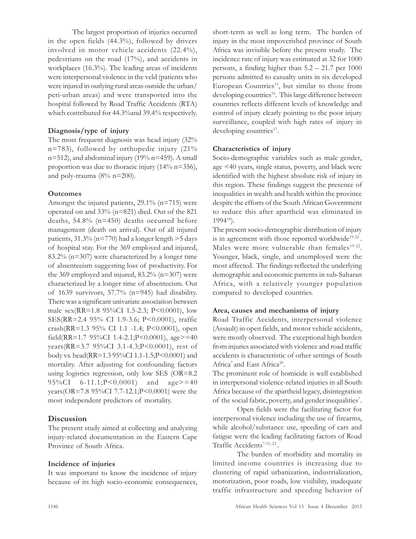The largest proportion of injuries occurred in the open fields (44.3%), followed by drivers involved in motor vehicle accidents (22.4%), pedestrians on the road (17%), and accidents in workplaces (16.3%). The leading areas of incidents were interpersonal violence in the veld (patients who were injured in outlying rural areas outside the urban/ peri-urban areas) and were transported into the hospital followed by Road Traffic Accidents (RTA) which contributed for 44.3% and 39.4% respectively.

## Diagnosis/type of injury

The most frequent diagnosis was head injury (32% n=783), followed by orthopedic injury (21%  $n=512$ ), and abdominal injury (19%  $n=459$ ). A small proportion was due to thoracic injury (14% n=356), and poly-trauma (8% n=200).

#### **Outcomes**

Amongst the injured patients, 29.1% (n=715) were operated on and 33% (n=821) died. Out of the 821 deaths, 54.8% (n=450) deaths occurred before management (death on arrival). Out of all injured patients, 31.3% (n=770) had a longer length >5 days of hospital stay. For the 369 employed and injured, 83.2% (n=307) were characterized by a longer time of absenteeism suggesting loss of productivity. For the 369 employed and injured,  $83.2\%$  (n=307) were characterized by a longer time of absenteeism. Out of 1639 survivors, 57.7% (n=945) had disability. There was a significant univariate association between male sex(RR=1.8 95%CI 1.5-2.3; P<0.0001), low SES(RR=2.4 95% CI 1.9-3.6; P<0.0001), traffic crash(RR=1.3 95% CI 1.1 -1.4; P<0.0001), open field(RR=1.7 95%CI 1.4-2.1;P<0.0001), age>=40 years(RR=3.7 95%CI 3.1-4.3;P<0.0001), rest of body vs. head(RR=1.3 95%CI 1.1-1.5;P<0.0001) and mortality. After adjusting for confounding factors using logistics regression, only low SES (OR=8.2 95%CI 6-11.1;P<0.0001) and age>=40 years(OR=7.8 95%CI 7.7-12.1;P<0.0001) were the most independent predictors of mortality.

#### Discussion

The present study aimed at collecting and analyzing injury-related documentation in the Eastern Cape Province of South Africa.

#### Incidence of injuries

It was important to know the incidence of injury because of its high socio-economic consequences, short-term as well as long term. The burden of injury in the most impoverished province of South Africa was invisible before the present study. The incidence rate of injury was estimated at 32 for 1000 persons, a finding higher than 5.2 – 21.7 per 1000 persons admitted to casualty units in six developed European Countries<sup>15</sup>, but similar to those from developing countries<sup>16</sup>. This large difference between countries reflects different levels of knowledge and control of injury clearly pointing to the poor injury surveillance, coupled with high rates of injury in developing countries<sup>17</sup>.

#### Characteristics of injury

Socio-demographic variables such as male gender, age <40 years, single status, poverty, and black were identified with the highest absolute risk of injury in this region. These findings suggest the presence of inequalities in wealth and health within the province despite the efforts of the South African Government to reduce this after apartheid was eliminated in  $1994^{18}$ ).

The present socio-demographic distribution of injury is in agreement with those reported worldwide<sup>19-22</sup>. Males were more vulnerable than females<sup>19-22</sup>. Younger, black, single, and unemployed were the most affected. The findings reflected the underlying demographic and economic patterns in sub-Saharan Africa, with a relatively younger population compared to developed countries.

#### Area, causes and mechanisms of injury

Road Traffic Accidents, interpersonal violence (Assault) in open fields, and motor vehicle accidents, were mostly observed. The exceptional high burden from injuries associated with violence and road traffic accidents is characteristic of other settings of South Africa<sup>7</sup> and East Africa<sup>20</sup>.

The prominent role of homicide is well established in interpersonal violence-related injuries in all South Africa because of the apartheid legacy, disintegration of the social fabric, poverty, and gender inequalities<sup>7</sup>.

Open fields were the facilitating factor for interpersonal violence including the use of firearms, while alcohol/substance use, speeding of cars and fatigue were the leading facilitating factors of Road Traffic Accidents<sup>7-11, 23</sup>.

The burden of morbidity and mortality in limited income countries is increasing due to clustering of rapid urbanization, industrialization, motorization, poor roads, low visibility, inadequate traffic infrastructure and speeding behavior of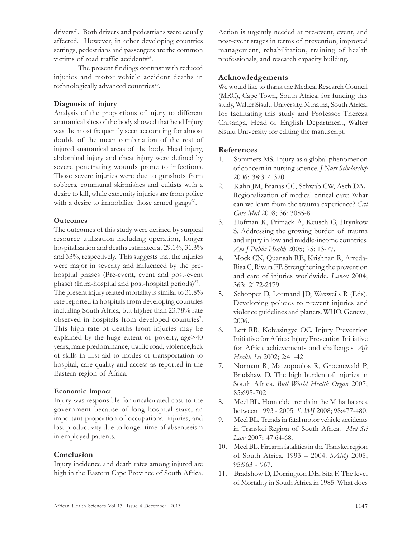drivers<sup>24</sup>. Both drivers and pedestrians were equally affected. However, in other developing countries settings, pedestrians and passengers are the common victims of road traffic accidents<sup>24</sup>.

The present findings contrast with reduced injuries and motor vehicle accident deaths in technologically advanced countries<sup>25</sup>.

## Diagnosis of injury

Analysis of the proportions of injury to different anatomical sites of the body showed that head Injury was the most frequently seen accounting for almost double of the mean combination of the rest of injured anatomical areas of the body. Head injury, abdominal injury and chest injury were defined by severe penetrating wounds prone to infections. Those severe injuries were due to gunshots from robbers, communal skirmishes and cultists with a desire to kill, while extremity injuries are from police with a desire to immobilize those armed gangs<sup>26</sup>.

## **Outcomes**

The outcomes of this study were defined by surgical resource utilization including operation, longer hospitalization and deaths estimated at 29.1%, 31.3% and 33%, respectively. This suggests that the injuries were major in severity and influenced by the prehospital phases (Pre-event, event and post-event phase) (Intra-hospital and post-hospital periods) $27$ . The present injury related mortality is similar to 31.8% rate reported in hospitals from developing countries including South Africa, but higher than 23.78% rate observed in hospitals from developed countries<sup>7</sup>. This high rate of deaths from injuries may be explained by the huge extent of poverty, age>40 years, male predominance, traffic road, violence,lack of skills in first aid to modes of transportation to hospital, care quality and access as reported in the Eastern region of Africa.

## Economic impact

Injury was responsible for uncalculated cost to the government because of long hospital stays, an important proportion of occupational injuries, and lost productivity due to longer time of absenteeism in employed patients.

# Conclusion

Injury incidence and death rates among injured are high in the Eastern Cape Province of South Africa. Action is urgently needed at pre-event, event, and post-event stages in terms of prevention, improved management, rehabilitation, training of health professionals, and research capacity building.

# Acknowledgements

We would like to thank the Medical Research Council (MRC), Cape Town, South Africa, for funding this study, Walter Sisulu University, Mthatha, South Africa, for facilitating this study and Professor Thereza Chisanga, Head of English Department, Walter Sisulu University for editing the manuscript.

# References

- 1. Sommers MS. Injury as a global phenomenon of concern in nursing science. J Nurs Scholarship 2006; 38:314-320.
- 2. Kahn JM, Branas CC, Schwab CW, Asch DA. Regionalization of medical critical care: What can we learn from the trauma experience? Crit Care Med 2008; 36: 3085-8.
- 3. Hofman K, Primack A, Keusch G, Hrynkow S. Addressing the growing burden of trauma and injury in low and middle-income countries. Am J Public Health 2005; 95: 13-77.
- 4. Mock CN, Quansah RE, Krishnan R, Arreda-Risa C, Rivara FP. Strengthening the prevention and care of injuries worldwide. Lancet 2004; 363: 2172-2179
- 5. Schopper D, Lormand JD, Waxweils R (Eds). Developing policies to prevent injuries and violence guidelines and planers. WHO, Geneva, 2006.
- 6. Lett RR, Kobusingye OC. Injury Prevention Initiative for Africa: Injury Prevention Initiative for Africa achievements and challenges. Afr Health Sci 2002; 2:41-42
- 7. Norman R, Matzopoulos R, Groenewald P, Bradshaw D. The high burden of injuries in South Africa. Bull World Health Organ 2007; 85:695-702
- 8. Meel BL. Homicide trends in the Mthatha area between 1993 - 2005. SAMJ 2008; 98:477-480.
- 9. Meel BL. Trends in fatal motor vehicle accidents in Transkei Region of South Africa. Med Sci Law 2007; 47:64-68.
- 10. Meel BL. Firearm fatalities in the Transkei region of South Africa, 1993 – 2004. SAMJ 2005; 95:963 - 967.
- 11. Bradshow D, Dorrington DE, Sita F. The level of Mortality in South Africa in 1985. What does